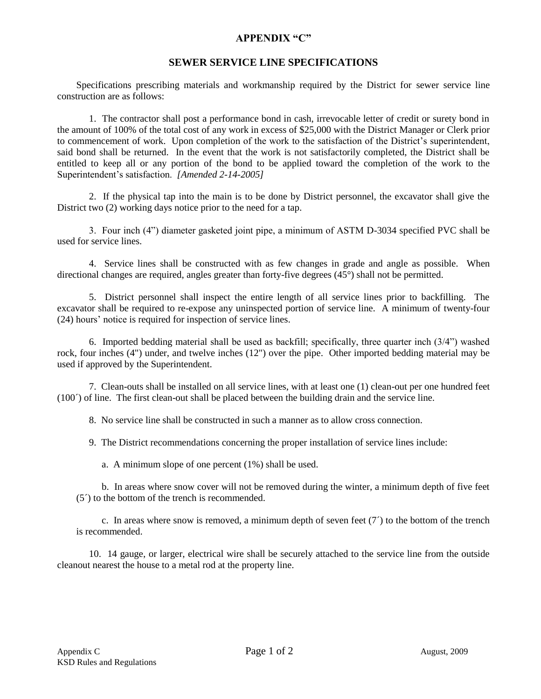## **APPENDIX "C"**

## **SEWER SERVICE LINE SPECIFICATIONS**

Specifications prescribing materials and workmanship required by the District for sewer service line construction are as follows:

1. The contractor shall post a performance bond in cash, irrevocable letter of credit or surety bond in the amount of 100% of the total cost of any work in excess of \$25,000 with the District Manager or Clerk prior to commencement of work. Upon completion of the work to the satisfaction of the District's superintendent, said bond shall be returned. In the event that the work is not satisfactorily completed, the District shall be entitled to keep all or any portion of the bond to be applied toward the completion of the work to the Superintendent's satisfaction. *[Amended 2-14-2005]*

2. If the physical tap into the main is to be done by District personnel, the excavator shall give the District two (2) working days notice prior to the need for a tap.

3. Four inch (4") diameter gasketed joint pipe, a minimum of ASTM D-3034 specified PVC shall be used for service lines.

4. Service lines shall be constructed with as few changes in grade and angle as possible. When directional changes are required, angles greater than forty-five degrees (45°) shall not be permitted.

5. District personnel shall inspect the entire length of all service lines prior to backfilling. The excavator shall be required to re-expose any uninspected portion of service line. A minimum of twenty-four (24) hours' notice is required for inspection of service lines.

6. Imported bedding material shall be used as backfill; specifically, three quarter inch (3/4") washed rock, four inches (4") under, and twelve inches (12") over the pipe. Other imported bedding material may be used if approved by the Superintendent.

7. Clean-outs shall be installed on all service lines, with at least one (1) clean-out per one hundred feet (100´) of line. The first clean-out shall be placed between the building drain and the service line.

8. No service line shall be constructed in such a manner as to allow cross connection.

9. The District recommendations concerning the proper installation of service lines include:

a. A minimum slope of one percent (1%) shall be used.

b. In areas where snow cover will not be removed during the winter, a minimum depth of five feet (5´) to the bottom of the trench is recommended.

c. In areas where snow is removed, a minimum depth of seven feet  $(7)$  to the bottom of the trench is recommended.

10. 14 gauge, or larger, electrical wire shall be securely attached to the service line from the outside cleanout nearest the house to a metal rod at the property line.